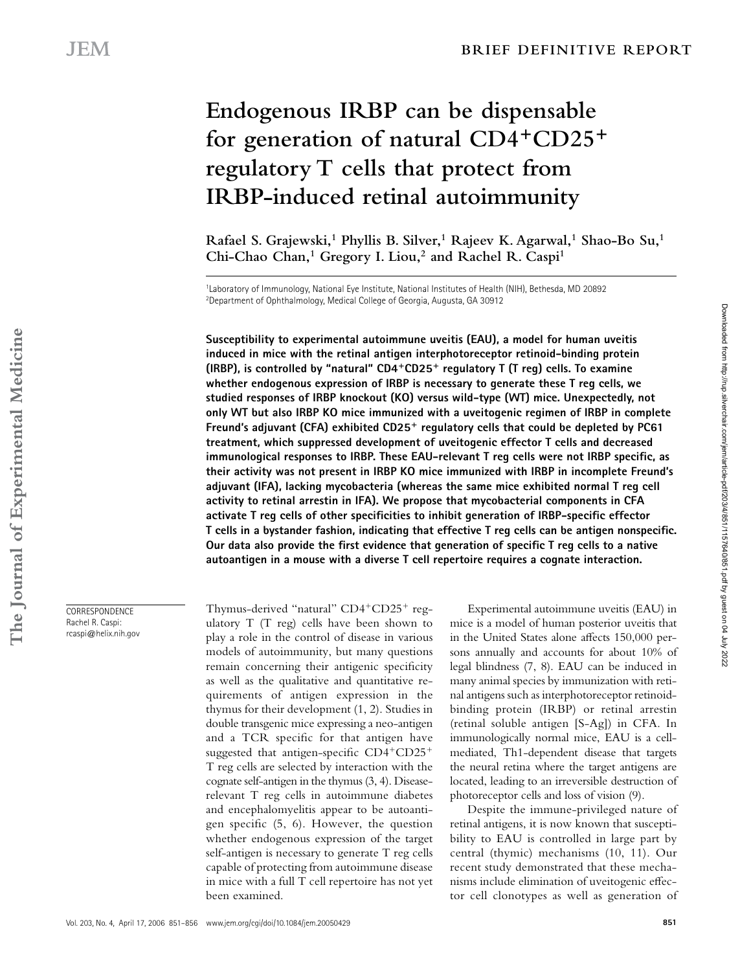# **Endogenous IRBP can be dispensable for generation of natural CD4**<sup>+</sup>**CD25**<sup>+</sup> **regulatory T cells that protect from IRBP-induced retinal autoimmunity**

Rafael S. Grajewski,<sup>1</sup> Phyllis B. Silver,<sup>1</sup> Rajeev K. Agarwal,<sup>1</sup> Shao-Bo Su,<sup>1</sup> **Chi-Chao Chan,1 Gregory I. Liou,2 and Rachel R. Caspi1**

1Laboratory of Immunology, National Eye Institute, National Institutes of Health (NIH), Bethesda, MD 20892 2Department of Ophthalmology, Medical College of Georgia, Augusta, GA 30912

**Susceptibility to experimental autoimmune uveitis (EAU), a model for human uveitis induced in mice with the retinal antigen interphotoreceptor retinoid-binding protein (IRBP), is controlled by "natural" CD4**<sup>+</sup>**CD25**<sup>+</sup> **regulatory T (T reg) cells. To examine whether endogenous expression of IRBP is necessary to generate these T reg cells, we studied responses of IRBP knockout (KO) versus wild-type (WT) mice. Unexpectedly, not only WT but also IRBP KO mice immunized with a uveitogenic regimen of IRBP in complete Freund's adjuvant (CFA) exhibited CD25**<sup>+</sup> **regulatory cells that could be depleted by PC61 treatment, which suppressed development of uveitogenic effector T cells and decreased**  immunological responses to IRBP. These EAU-relevant T reg cells were not IRBP specific, as **their activity was not present in IRBP KO mice immunized with IRBP in incomplete Freund's adjuvant (IFA), lacking mycobacteria (whereas the same mice exhibited normal T reg cell activity to retinal arrestin in IFA). We propose that mycobacterial components in CFA**  activate T reg cells of other specificities to inhibit generation of IRBP-specific effector **T** cells in a bystander fashion, indicating that effective T reg cells can be antigen nonspecific. Our data also provide the first evidence that generation of specific T reg cells to a native **autoantigen in a mouse with a diverse T cell repertoire requires a cognate interaction.**

Thymus-derived "natural" CD4<sup>+</sup>CD25<sup>+</sup> regulatory T (T reg) cells have been shown to play a role in the control of disease in various models of autoimmunity, but many questions remain concerning their antigenic specificity as well as the qualitative and quantitative requirements of antigen expression in the thymus for their development (1, 2). Studies in double transgenic mice expressing a neo-antigen and a TCR specific for that antigen have suggested that antigen-specific  $CD4+CD25+$ T reg cells are selected by interaction with the cognate self-antigen in the thymus (3, 4). Diseaserelevant T reg cells in autoimmune diabetes and encephalomyelitis appear to be autoantigen specific  $(5, 6)$ . However, the question whether endogenous expression of the target self-antigen is necessary to generate T reg cells capable of protecting from autoimmune disease in mice with a full T cell repertoire has not yet been examined.

Experimental autoimmune uveitis (EAU) in mice is a model of human posterior uveitis that in the United States alone affects 150,000 persons annually and accounts for about 10% of legal blindness (7, 8). EAU can be induced in many animal species by immunization with retinal antigens such as interphotoreceptor retinoidbinding protein (IRBP) or retinal arrestin (retinal soluble antigen [S-Ag]) in CFA. In immunologically normal mice, EAU is a cellmediated, Th1-dependent disease that targets the neural retina where the target antigens are located, leading to an irreversible destruction of photoreceptor cells and loss of vision (9).

Despite the immune-privileged nature of retinal antigens, it is now known that susceptibility to EAU is controlled in large part by central (thymic) mechanisms (10, 11). Our recent study demonstrated that these mechanisms include elimination of uveitogenic effector cell clonotypes as well as generation of

CORRESPONDENCE Rachel R. Caspi: rcaspi@helix.nih.gov Downloaded from http://rup.silverchair.com/jem/article-pdf/203/4/851/1157640/851.pdf by guest on 04 July 2022

Downloaded from http://rup.silverchair.com/jem/article-pdf/203/4/851/1157640/851.pdf by guest on 04 July 2022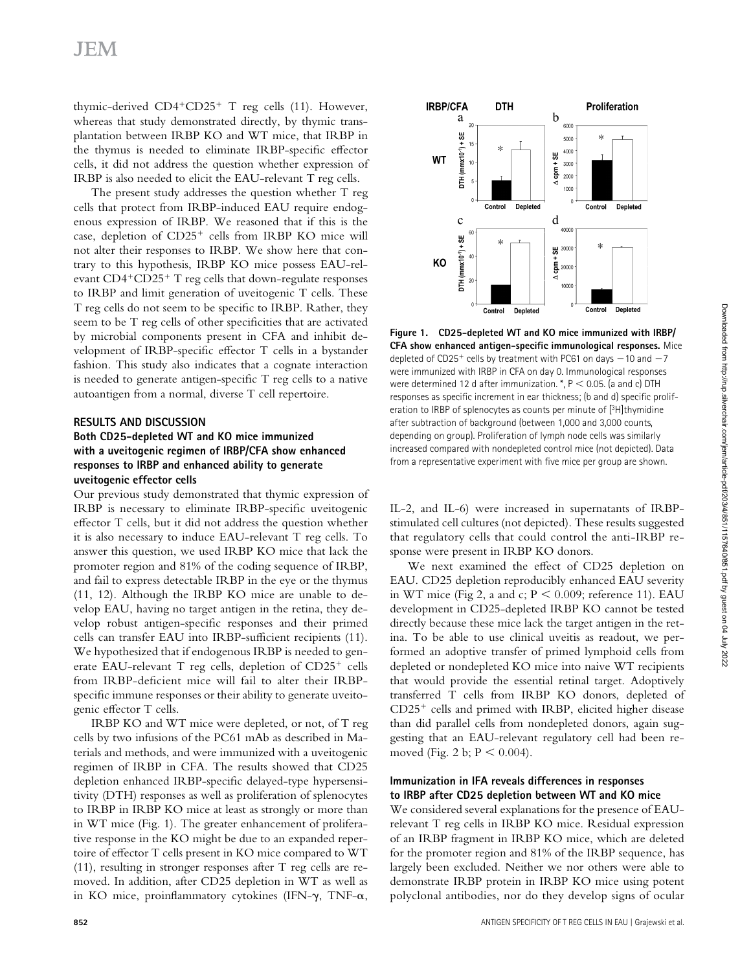thymic-derived  $CD4+CD25+T$  reg cells (11). However, whereas that study demonstrated directly, by thymic transplantation between IRBP KO and WT mice, that IRBP in the thymus is needed to eliminate IRBP-specific effector cells, it did not address the question whether expression of IRBP is also needed to elicit the EAU-relevant T reg cells.

The present study addresses the question whether T reg cells that protect from IRBP-induced EAU require endogenous expression of IRBP. We reasoned that if this is the case, depletion of CD25<sup>+</sup> cells from IRBP KO mice will not alter their responses to IRBP. We show here that contrary to this hypothesis, IRBP KO mice possess EAU-relevant CD4<sup>+</sup>CD25<sup>+</sup> T reg cells that down-regulate responses to IRBP and limit generation of uveitogenic T cells. These T reg cells do not seem to be specific to IRBP. Rather, they seem to be T reg cells of other specificities that are activated by microbial components present in CFA and inhibit development of IRBP-specific effector T cells in a bystander fashion. This study also indicates that a cognate interaction is needed to generate antigen-specific T reg cells to a native autoantigen from a normal, diverse T cell repertoire.

### **RESULTS AND DISCUSSION**

# **Both CD25-depleted WT and KO mice immunized with a uveitogenic regimen of IRBP/CFA show enhanced responses to IRBP and enhanced ability to generate uveitogenic effector cells**

Our previous study demonstrated that thymic expression of IRBP is necessary to eliminate IRBP-specific uveitogenic effector T cells, but it did not address the question whether it is also necessary to induce EAU-relevant T reg cells. To answer this question, we used IRBP KO mice that lack the promoter region and 81% of the coding sequence of IRBP, and fail to express detectable IRBP in the eye or the thymus (11, 12). Although the IRBP KO mice are unable to develop EAU, having no target antigen in the retina, they develop robust antigen-specific responses and their primed cells can transfer EAU into IRBP-sufficient recipients (11). We hypothesized that if endogenous IRBP is needed to generate EAU-relevant T reg cells, depletion of CD25<sup>+</sup> cells from IRBP-deficient mice will fail to alter their IRBPspecific immune responses or their ability to generate uveitogenic effector T cells.

IRBP KO and WT mice were depleted, or not, of T reg cells by two infusions of the PC61 mAb as described in Materials and methods, and were immunized with a uveitogenic regimen of IRBP in CFA. The results showed that CD25 depletion enhanced IRBP-specific delayed-type hypersensitivity (DTH) responses as well as proliferation of splenocytes to IRBP in IRBP KO mice at least as strongly or more than in WT mice (Fig. 1). The greater enhancement of proliferative response in the KO might be due to an expanded repertoire of effector T cells present in KO mice compared to WT (11), resulting in stronger responses after T reg cells are removed. In addition, after CD25 depletion in WT as well as in KO mice, proinflammatory cytokines (IFN- $\gamma$ , TNF- $\alpha$ ,



**Figure 1. CD25-depleted WT and KO mice immunized with IRBP/ CFA show enhanced antigen-specific immunological responses.** Mice depleted of CD25<sup>+</sup> cells by treatment with PC61 on days −10 and −7 were immunized with IRBP in CFA on day 0. Immunological responses were determined 12 d after immunization.  $^*$ ,  $P$  < 0.05. (a and c) DTH responses as specific increment in ear thickness; (b and d) specific proliferation to IRBP of splenocytes as counts per minute of [3H]thymidine after subtraction of background (between 1,000 and 3,000 counts, depending on group). Proliferation of lymph node cells was similarly increased compared with nondepleted control mice (not depicted). Data from a representative experiment with five mice per group are shown.

IL-2, and IL-6) were increased in supernatants of IRBPstimulated cell cultures (not depicted). These results suggested that regulatory cells that could control the anti-IRBP response were present in IRBP KO donors.

We next examined the effect of CD25 depletion on EAU. CD25 depletion reproducibly enhanced EAU severity in WT mice (Fig 2, a and c;  $P \le 0.009$ ; reference 11). EAU development in CD25-depleted IRBP KO cannot be tested directly because these mice lack the target antigen in the retina. To be able to use clinical uveitis as readout, we performed an adoptive transfer of primed lymphoid cells from depleted or nondepleted KO mice into naive WT recipients that would provide the essential retinal target. Adoptively transferred T cells from IRBP KO donors, depleted of CD25<sup>+</sup> cells and primed with IRBP, elicited higher disease than did parallel cells from nondepleted donors, again suggesting that an EAU-relevant regulatory cell had been removed (Fig. 2 b;  $P < 0.004$ ).

# **Immunization in IFA reveals differences in responses to IRBP after CD25 depletion between WT and KO mice**

We considered several explanations for the presence of EAUrelevant T reg cells in IRBP KO mice. Residual expression of an IRBP fragment in IRBP KO mice, which are deleted for the promoter region and 81% of the IRBP sequence, has largely been excluded. Neither we nor others were able to demonstrate IRBP protein in IRBP KO mice using potent polyclonal antibodies, nor do they develop signs of ocular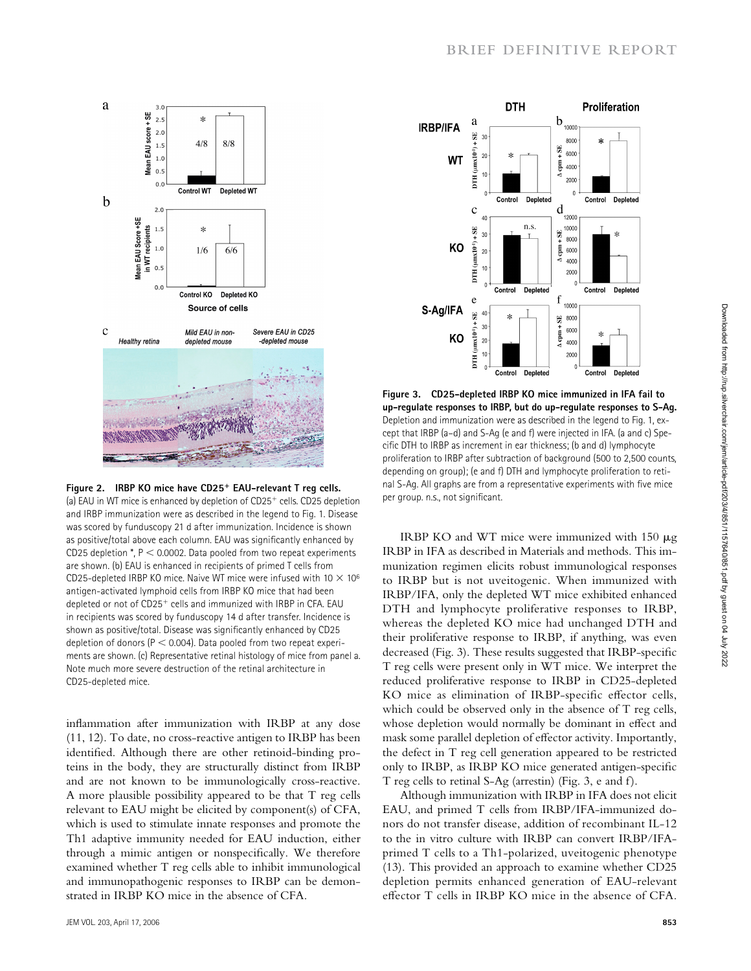

**Figure 2. IRBP KO mice have CD25**<sup>+</sup> **EAU-relevant T reg cells.**  (a) EAU in WT mice is enhanced by depletion of CD25<sup>+</sup> cells. CD25 depletion and IRBP immunization were as described in the legend to Fig. 1. Disease was scored by funduscopy 21 d after immunization. Incidence is shown as positive/total above each column. EAU was significantly enhanced by CD25 depletion  $*$ ,  $P < 0.0002$ . Data pooled from two repeat experiments are shown. (b) EAU is enhanced in recipients of primed T cells from CD25-depleted IRBP KO mice. Naive WT mice were infused with 10  $\times$  10<sup>6</sup> antigen-activated lymphoid cells from IRBP KO mice that had been depleted or not of CD25<sup>+</sup> cells and immunized with IRBP in CFA. EAU in recipients was scored by funduscopy 14 d after transfer. Incidence is shown as positive/total. Disease was significantly enhanced by CD25 depletion of donors ( $P < 0.004$ ). Data pooled from two repeat experiments are shown. (c) Representative retinal histology of mice from panel a. Note much more severe destruction of the retinal architecture in CD25-depleted mice.

inflammation after immunization with IRBP at any dose (11, 12). To date, no cross-reactive antigen to IRBP has been identified. Although there are other retinoid-binding proteins in the body, they are structurally distinct from IRBP and are not known to be immunologically cross-reactive. A more plausible possibility appeared to be that T reg cells relevant to EAU might be elicited by component(s) of CFA, which is used to stimulate innate responses and promote the Th1 adaptive immunity needed for EAU induction, either through a mimic antigen or nonspecifically. We therefore examined whether T reg cells able to inhibit immunological and immunopathogenic responses to IRBP can be demonstrated in IRBP KO mice in the absence of CFA.



**Figure 3. CD25-depleted IRBP KO mice immunized in IFA fail to up-regulate responses to IRBP, but do up-regulate responses to S-Ag.**  Depletion and immunization were as described in the legend to Fig. 1, except that IRBP (a–d) and S-Ag (e and f) were injected in IFA. (a and c) Specific DTH to IRBP as increment in ear thickness; (b and d) lymphocyte proliferation to IRBP after subtraction of background (500 to 2,500 counts, depending on group); (e and f) DTH and lymphocyte proliferation to retinal S-Ag. All graphs are from a representative experiments with five mice per group. n.s., not significant.

IRBP KO and WT mice were immunized with 150 μg IRBP in IFA as described in Materials and methods. This immunization regimen elicits robust immunological responses to IRBP but is not uveitogenic. When immunized with IRBP/IFA, only the depleted WT mice exhibited enhanced DTH and lymphocyte proliferative responses to IRBP, whereas the depleted KO mice had unchanged DTH and their proliferative response to IRBP, if anything, was even decreased (Fig. 3). These results suggested that IRBP-specific T reg cells were present only in WT mice. We interpret the reduced proliferative response to IRBP in CD25-depleted KO mice as elimination of IRBP-specific effector cells, which could be observed only in the absence of T reg cells, whose depletion would normally be dominant in effect and mask some parallel depletion of effector activity. Importantly, the defect in T reg cell generation appeared to be restricted only to IRBP, as IRBP KO mice generated antigen-specific T reg cells to retinal S-Ag (arrestin) (Fig. 3, e and f).

Although immunization with IRBP in IFA does not elicit EAU, and primed T cells from IRBP/IFA-immunized donors do not transfer disease, addition of recombinant IL-12 to the in vitro culture with IRBP can convert IRBP/IFAprimed T cells to a Th1-polarized, uveitogenic phenotype (13). This provided an approach to examine whether CD25 depletion permits enhanced generation of EAU-relevant effector T cells in IRBP KO mice in the absence of CFA.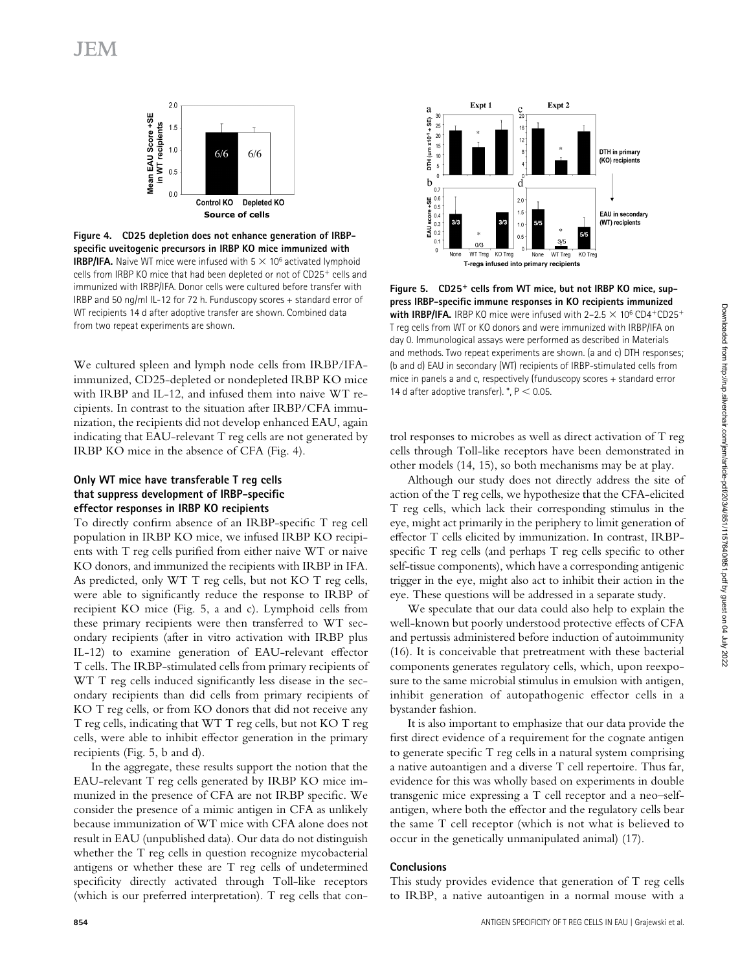

**Figure 4. CD25 depletion does not enhance generation of IRBP**specific uveitogenic precursors in IRBP KO mice immunized with **IRBP/IFA.** Naive WT mice were infused with  $5 \times 10^6$  activated lymphoid cells from IRBP KO mice that had been depleted or not of CD25<sup>+</sup> cells and immunized with IRBP/IFA. Donor cells were cultured before transfer with IRBP and 50 ng/ml IL-12 for 72 h. Funduscopy scores + standard error of WT recipients 14 d after adoptive transfer are shown. Combined data from two repeat experiments are shown.

We cultured spleen and lymph node cells from IRBP/IFAimmunized, CD25-depleted or nondepleted IRBP KO mice with IRBP and IL-12, and infused them into naive WT recipients. In contrast to the situation after IRBP/CFA immunization, the recipients did not develop enhanced EAU, again indicating that EAU-relevant T reg cells are not generated by IRBP KO mice in the absence of CFA (Fig. 4).

# **Only WT mice have transferable T reg cells that suppress development of IRBP-specific effector responses in IRBP KO recipients**

To directly confirm absence of an IRBP-specific T reg cell population in IRBP KO mice, we infused IRBP KO recipients with  $T$  reg cells purified from either naive  $WT$  or naive KO donors, and immunized the recipients with IRBP in IFA. As predicted, only WT T reg cells, but not KO T reg cells, were able to significantly reduce the response to IRBP of recipient KO mice (Fig. 5, a and c). Lymphoid cells from these primary recipients were then transferred to WT secondary recipients (after in vitro activation with IRBP plus IL-12) to examine generation of EAU-relevant effector T cells. The IRBP-stimulated cells from primary recipients of WT T reg cells induced significantly less disease in the secondary recipients than did cells from primary recipients of KO T reg cells, or from KO donors that did not receive any T reg cells, indicating that WT T reg cells, but not KO T reg cells, were able to inhibit effector generation in the primary recipients (Fig. 5, b and d).

In the aggregate, these results support the notion that the EAU-relevant T reg cells generated by IRBP KO mice immunized in the presence of CFA are not IRBP specific. We consider the presence of a mimic antigen in CFA as unlikely because immunization of WT mice with CFA alone does not result in EAU (unpublished data). Our data do not distinguish whether the T reg cells in question recognize mycobacterial antigens or whether these are T reg cells of undetermined specificity directly activated through Toll-like receptors (which is our preferred interpretation). T reg cells that con-



**Figure 5. CD25**<sup>+</sup> **cells from WT mice, but not IRBP KO mice, sup**press IRBP-specific immune responses in KO recipients immunized **with IRBP/IFA.** IRBP KO mice were infused with  $2-2.5 \times 10^6$  CD4<sup>+</sup>CD25<sup>+</sup> T reg cells from WT or KO donors and were immunized with IRBP/IFA on day 0. Immunological assays were performed as described in Materials and methods. Two repeat experiments are shown. (a and c) DTH responses; (b and d) EAU in secondary (WT) recipients of IRBP-stimulated cells from mice in panels a and c, respectively (funduscopy scores + standard error 14 d after adoptive transfer).  $*$ ,  $P < 0.05$ .

trol responses to microbes as well as direct activation of T reg cells through Toll-like receptors have been demonstrated in other models (14, 15), so both mechanisms may be at play.

Although our study does not directly address the site of action of the T reg cells, we hypothesize that the CFA-elicited T reg cells, which lack their corresponding stimulus in the eye, might act primarily in the periphery to limit generation of effector T cells elicited by immunization. In contrast, IRBPspecific  $T$  reg cells (and perhaps  $T$  reg cells specific to other self-tissue components), which have a corresponding antigenic trigger in the eye, might also act to inhibit their action in the eye. These questions will be addressed in a separate study.

We speculate that our data could also help to explain the well-known but poorly understood protective effects of CFA and pertussis administered before induction of autoimmunity (16). It is conceivable that pretreatment with these bacterial components generates regulatory cells, which, upon reexposure to the same microbial stimulus in emulsion with antigen, inhibit generation of autopathogenic effector cells in a bystander fashion.

It is also important to emphasize that our data provide the first direct evidence of a requirement for the cognate antigen to generate specific  $T$  reg cells in a natural system comprising a native autoantigen and a diverse T cell repertoire. Thus far, evidence for this was wholly based on experiments in double transgenic mice expressing a T cell receptor and a neo–selfantigen, where both the effector and the regulatory cells bear the same T cell receptor (which is not what is believed to occur in the genetically unmanipulated animal) (17).

### **Conclusions**

This study provides evidence that generation of T reg cells to IRBP, a native autoantigen in a normal mouse with a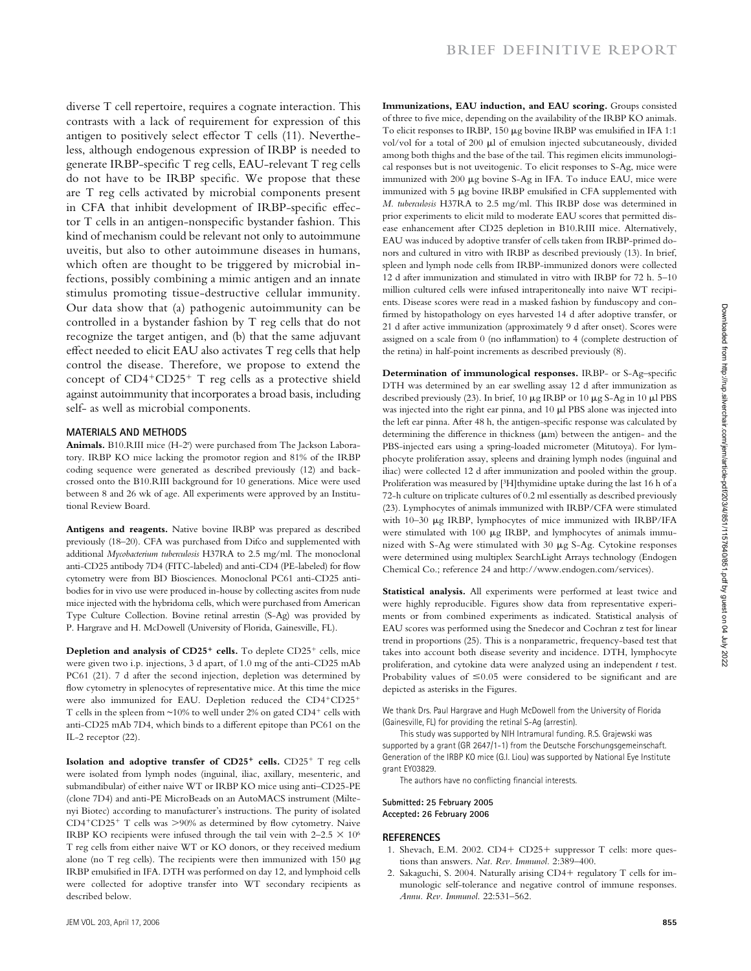diverse T cell repertoire, requires a cognate interaction. This contrasts with a lack of requirement for expression of this antigen to positively select effector  $T$  cells (11). Nevertheless, although endogenous expression of IRBP is needed to generate IRBP-specific T reg cells, EAU-relevant T reg cells do not have to be IRBP specific. We propose that these are T reg cells activated by microbial components present in CFA that inhibit development of IRBP-specific effector T cells in an antigen-nonspecific bystander fashion. This kind of mechanism could be relevant not only to autoimmune uveitis, but also to other autoimmune diseases in humans, which often are thought to be triggered by microbial infections, possibly combining a mimic antigen and an innate stimulus promoting tissue-destructive cellular immunity. Our data show that (a) pathogenic autoimmunity can be controlled in a bystander fashion by T reg cells that do not recognize the target antigen, and (b) that the same adjuvant effect needed to elicit EAU also activates T reg cells that help control the disease. Therefore, we propose to extend the concept of CD4<sup>+</sup>CD25<sup>+</sup> T reg cells as a protective shield against autoimmunity that incorporates a broad basis, including self- as well as microbial components.

#### **MATERIALS AND METHODS**

Animals. B10.RIII mice (H-2<sup>r</sup>) were purchased from The Jackson Laboratory. IRBP KO mice lacking the promotor region and 81% of the IRBP coding sequence were generated as described previously (12) and backcrossed onto the B10.RIII background for 10 generations. Mice were used between 8 and 26 wk of age. All experiments were approved by an Institutional Review Board.

**Antigens and reagents.** Native bovine IRBP was prepared as described previously (18–20). CFA was purchased from Difco and supplemented with additional *Mycobacterium tuberculosis* H37RA to 2.5 mg/ml. The monoclonal anti-CD25 antibody 7D4 (FITC-labeled) and anti-CD4 (PE-labeled) for flow cytometry were from BD Biosciences. Monoclonal PC61 anti-CD25 antibodies for in vivo use were produced in-house by collecting ascites from nude mice injected with the hybridoma cells, which were purchased from American Type Culture Collection. Bovine retinal arrestin (S-Ag) was provided by P. Hargrave and H. McDowell (University of Florida, Gainesville, FL).

**Depletion and analysis of CD25**<sup>+</sup> **cells.** To deplete CD25<sup>+</sup> cells, mice were given two i.p. injections, 3 d apart, of 1.0 mg of the anti-CD25 mAb PC61 (21). 7 d after the second injection, depletion was determined by flow cytometry in splenocytes of representative mice. At this time the mice were also immunized for EAU. Depletion reduced the CD4<sup>+</sup>CD25<sup>+</sup> T cells in the spleen from  $\sim$ 10% to well under 2% on gated CD4<sup>+</sup> cells with anti-CD25 mAb 7D4, which binds to a different epitope than PC61 on the IL-2 receptor (22).

**Isolation and adoptive transfer of CD25**<sup>+</sup> **cells.** CD25<sup>+</sup> T reg cells were isolated from lymph nodes (inguinal, iliac, axillary, mesenteric, and submandibular) of either naive WT or IRBP KO mice using anti–CD25-PE (clone 7D4) and anti-PE MicroBeads on an AutoMACS instrument (Miltenyi Biotec) according to manufacturer's instructions. The purity of isolated  $CD4+CD25+T$  cells was  $>90\%$  as determined by flow cytometry. Naive IRBP KO recipients were infused through the tail vein with  $2-2.5 \times 10^6$ T reg cells from either naive WT or KO donors, or they received medium alone (no T reg cells). The recipients were then immunized with 150  $\mu$ g IRBP emulsified in IFA. DTH was performed on day 12, and lymphoid cells were collected for adoptive transfer into WT secondary recipients as described below.

**Immunizations, EAU induction, and EAU scoring.** Groups consisted of three to five mice, depending on the availability of the IRBP KO animals. To elicit responses to IRBP, 150  $\mu$ g bovine IRBP was emulsified in IFA 1:1 vol/vol for a total of 200 μl of emulsion injected subcutaneously, divided among both thighs and the base of the tail. This regimen elicits immunological responses but is not uveitogenic. To elicit responses to S-Ag, mice were immunized with 200 μg bovine S-Ag in IFA. To induce EAU, mice were immunized with  $5 \mu g$  bovine IRBP emulsified in CFA supplemented with *M. tuberculosis* H37RA to 2.5 mg/ml. This IRBP dose was determined in prior experiments to elicit mild to moderate EAU scores that permitted disease enhancement after CD25 depletion in B10.RIII mice. Alternatively, EAU was induced by adoptive transfer of cells taken from IRBP-primed donors and cultured in vitro with IRBP as described previously (13). In brief, spleen and lymph node cells from IRBP-immunized donors were collected 12 d after immunization and stimulated in vitro with IRBP for 72 h. 5–10 million cultured cells were infused intraperitoneally into naive WT recipients. Disease scores were read in a masked fashion by funduscopy and confirmed by histopathology on eyes harvested 14 d after adoptive transfer, or 21 d after active immunization (approximately 9 d after onset). Scores were assigned on a scale from 0 (no inflammation) to 4 (complete destruction of the retina) in half-point increments as described previously (8).

**Determination of immunological responses.** IRBP- or S-Ag-specific DTH was determined by an ear swelling assay 12 d after immunization as described previously (23). In brief, 10 μg IRBP or 10 μg S-Ag in 10 μl PBS was injected into the right ear pinna, and 10 μl PBS alone was injected into the left ear pinna. After 48 h, the antigen-specific response was calculated by determining the difference in thickness (μm) between the antigen- and the PBS-injected ears using a spring-loaded micrometer (Mitutoya). For lymphocyte proliferation assay, spleens and draining lymph nodes (inguinal and iliac) were collected 12 d after immunization and pooled within the group. Proliferation was measured by [<sup>3</sup>H]thymidine uptake during the last 16 h of a 72-h culture on triplicate cultures of 0.2 ml essentially as described previously (23). Lymphocytes of animals immunized with IRBP/CFA were stimulated with 10–30 μg IRBP, lymphocytes of mice immunized with IRBP/IFA were stimulated with 100 μg IRBP, and lymphocytes of animals immunized with S-Ag were stimulated with 30 μg S-Ag. Cytokine responses were determined using multiplex SearchLight Arrays technology (Endogen Chemical Co.; reference 24 and http://www.endogen.com/services).

**Statistical analysis.** All experiments were performed at least twice and were highly reproducible. Figures show data from representative experiments or from combined experiments as indicated. Statistical analysis of EAU scores was performed using the Snedecor and Cochran z test for linear trend in proportions (25). This is a nonparametric, frequency-based test that takes into account both disease severity and incidence. DTH, lymphocyte proliferation, and cytokine data were analyzed using an independent *t* test. Probability values of  $\leq 0.05$  were considered to be significant and are depicted as asterisks in the Figures.

We thank Drs. Paul Hargrave and Hugh McDowell from the University of Florida (Gainesville, FL) for providing the retinal S-Ag (arrestin).

This study was supported by NIH Intramural funding. R.S. Grajewski was supported by a grant (GR 2647/1-1) from the Deutsche Forschungsgemeinschaft. Generation of the IRBP KO mice (G.I. Liou) was supported by National Eye Institute grant EY03829.

The authors have no conflicting financial interests.

**Submitted: 25 February 2005 Accepted: 26 February 2006**

#### **R E F E R E N C E S**

- 1. Shevach, E.M. 2002. CD4+ CD25+ suppressor T cells: more questions than answers. *Nat. Rev. Immunol.* 2:389–400.
- 2. Sakaguchi, S. 2004. Naturally arising CD4+ regulatory T cells for immunologic self-tolerance and negative control of immune responses. *Annu. Rev. Immunol.* 22:531–562.